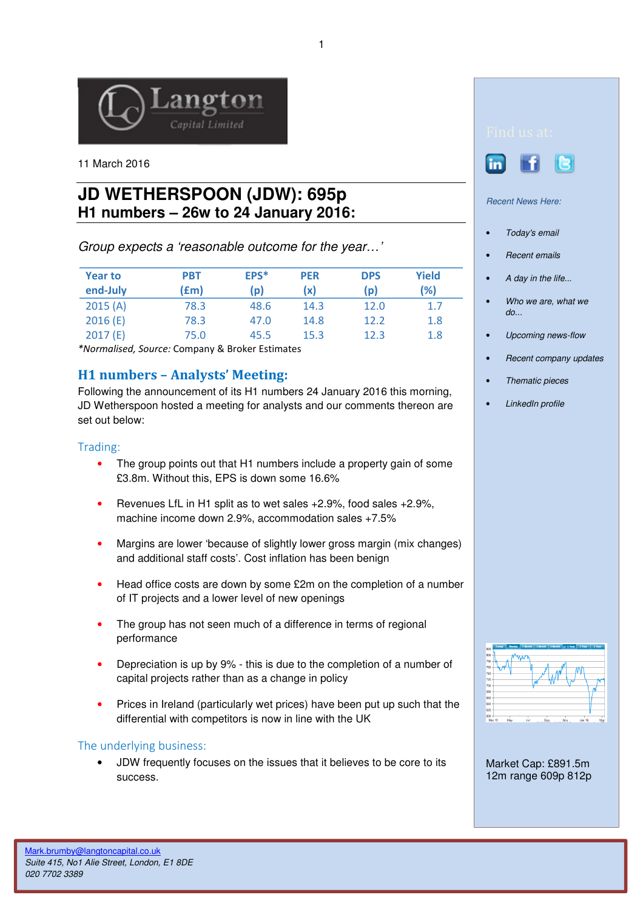

11 March 2016

# **JD WETHERSPOON (JDW): 695p H1 numbers – 26w to 24 January 2016:**

Group expects a 'reasonable outcome for the year…'

| <b>Year to</b><br>end-July | <b>PBT</b><br>f(m) | EPS*<br>(p) | <b>PER</b><br>(x | <b>DPS</b><br>(p) | <b>Yield</b><br>(%) |
|----------------------------|--------------------|-------------|------------------|-------------------|---------------------|
| 2015(A)                    | 78.3               | 48.6        | 14.3             | 12.0              | 1.7                 |
| 2016(E)                    | 78.3               | 47.0        | 14.8             | 12.2              | 1.8                 |
| 2017(E)                    | 75.0               | 45.5        | 15.3             | 12.3              | 1.8                 |

\*Normalised, Source: Company & Broker Estimates

# H1 numbers – Analysts' Meeting:

Following the announcement of its H1 numbers 24 January 2016 this morning, JD Wetherspoon hosted a meeting for analysts and our comments thereon are set out below:

## Trading:

- The group points out that H1 numbers include a property gain of some £3.8m. Without this, EPS is down some 16.6%
- Revenues LfL in H1 split as to wet sales +2.9%, food sales +2.9%, machine income down 2.9%, accommodation sales +7.5%
- Margins are lower 'because of slightly lower gross margin (mix changes) and additional staff costs'. Cost inflation has been benign
- Head office costs are down by some £2m on the completion of a number of IT projects and a lower level of new openings
- The group has not seen much of a difference in terms of regional performance
- Depreciation is up by 9% this is due to the completion of a number of capital projects rather than as a change in policy
- Prices in Ireland (particularly wet prices) have been put up such that the differential with competitors is now in line with the UK

## The underlying business:

• JDW frequently focuses on the issues that it believes to be core to its success.





Recent News Here:

- Today's email
- Recent emails
- A day in the life...
- Who we are, what we do...
- Upcoming news-flow
- Recent company updates
- Thematic pieces
- LinkedIn profile



Market Cap: £891.5m 12m range 609p 812p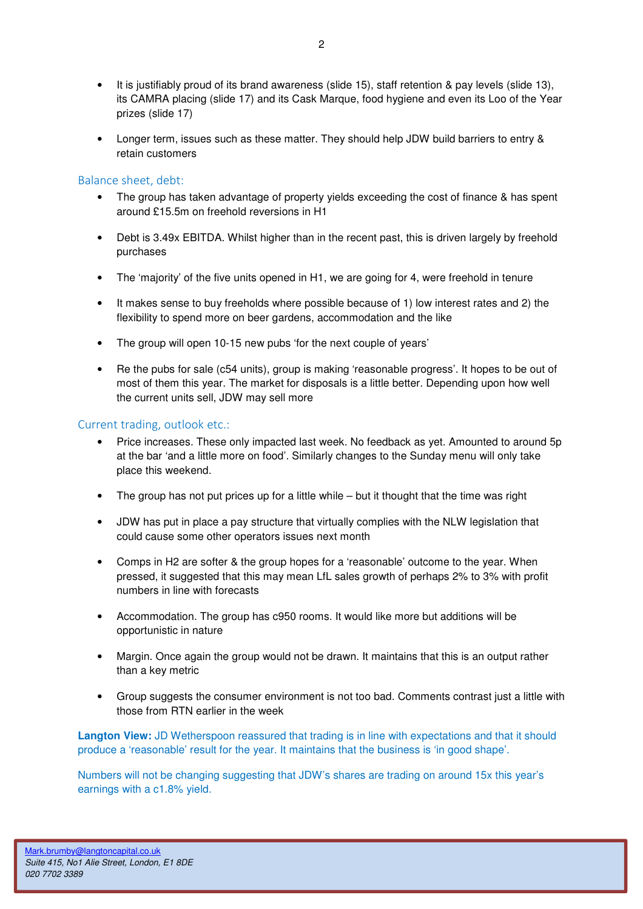- It is justifiably proud of its brand awareness (slide 15), staff retention & pay levels (slide 13), its CAMRA placing (slide 17) and its Cask Marque, food hygiene and even its Loo of the Year prizes (slide 17)
- Longer term, issues such as these matter. They should help JDW build barriers to entry & retain customers

#### Balance sheet, debt:

- The group has taken advantage of property yields exceeding the cost of finance & has spent around £15.5m on freehold reversions in H1
- Debt is 3.49x EBITDA. Whilst higher than in the recent past, this is driven largely by freehold purchases
- The 'majority' of the five units opened in H1, we are going for 4, were freehold in tenure
- It makes sense to buy freeholds where possible because of 1) low interest rates and 2) the flexibility to spend more on beer gardens, accommodation and the like
- The group will open 10-15 new pubs 'for the next couple of years'
- Re the pubs for sale (c54 units), group is making 'reasonable progress'. It hopes to be out of most of them this year. The market for disposals is a little better. Depending upon how well the current units sell, JDW may sell more

#### Current trading, outlook etc.:

- Price increases. These only impacted last week. No feedback as yet. Amounted to around 5p at the bar 'and a little more on food'. Similarly changes to the Sunday menu will only take place this weekend.
- The group has not put prices up for a little while but it thought that the time was right
- JDW has put in place a pay structure that virtually complies with the NLW legislation that could cause some other operators issues next month
- Comps in H2 are softer & the group hopes for a 'reasonable' outcome to the year. When pressed, it suggested that this may mean LfL sales growth of perhaps 2% to 3% with profit numbers in line with forecasts
- Accommodation. The group has c950 rooms. It would like more but additions will be opportunistic in nature
- Margin. Once again the group would not be drawn. It maintains that this is an output rather than a key metric
- Group suggests the consumer environment is not too bad. Comments contrast just a little with those from RTN earlier in the week

**Langton View:** JD Wetherspoon reassured that trading is in line with expectations and that it should produce a 'reasonable' result for the year. It maintains that the business is 'in good shape'.

Numbers will not be changing suggesting that JDW's shares are trading on around 15x this year's earnings with a c1.8% yield.